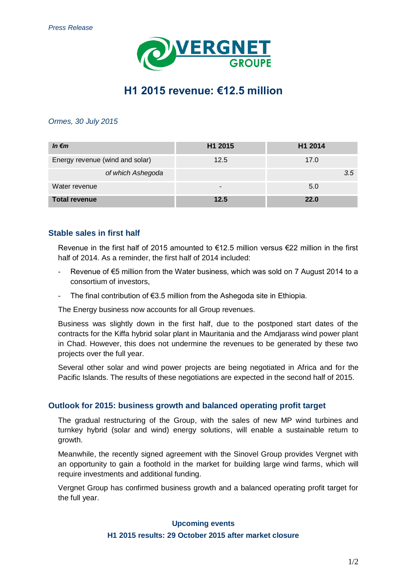

# **H1 2015 revenue: €12.5 million**

#### *Ormes, 30 July 2015*

| In $\epsilon$ m                 | H1 2015 | H1 2014     |
|---------------------------------|---------|-------------|
| Energy revenue (wind and solar) | 12.5    | 17.0        |
| of which Ashegoda               |         | 3.5         |
| Water revenue                   | -       | 5.0         |
| <b>Total revenue</b>            | 12.5    | <b>22.0</b> |

## **Stable sales in first half**

Revenue in the first half of 2015 amounted to €12.5 million versus €22 million in the first half of 2014. As a reminder, the first half of 2014 included:

- Revenue of  $\epsilon$ 5 million from the Water business, which was sold on 7 August 2014 to a consortium of investors,
- The final contribution of  $\epsilon$ 3.5 million from the Ashegoda site in Ethiopia.

The Energy business now accounts for all Group revenues.

Business was slightly down in the first half, due to the postponed start dates of the contracts for the Kiffa hybrid solar plant in Mauritania and the Amdjarass wind power plant in Chad. However, this does not undermine the revenues to be generated by these two projects over the full year.

Several other solar and wind power projects are being negotiated in Africa and for the Pacific Islands. The results of these negotiations are expected in the second half of 2015.

### **Outlook for 2015: business growth and balanced operating profit target**

The gradual restructuring of the Group, with the sales of new MP wind turbines and turnkey hybrid (solar and wind) energy solutions, will enable a sustainable return to growth.

Meanwhile, the recently signed agreement with the Sinovel Group provides Vergnet with an opportunity to gain a foothold in the market for building large wind farms, which will require investments and additional funding.

Vergnet Group has confirmed business growth and a balanced operating profit target for the full year.

### **Upcoming events**

#### **H1 2015 results: 29 October 2015 after market closure**